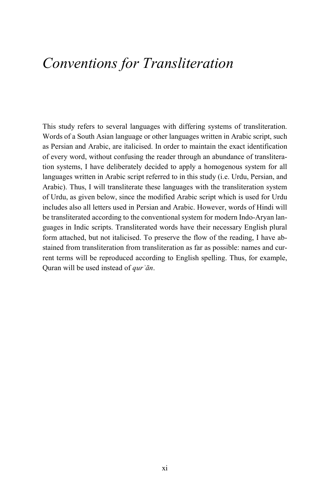## *Conventions for Transliteration*

This study refers to several languages with differing systems of transliteration. Words of a South Asian language or other languages written in Arabic script, such as Persian and Arabic, are italicised. In order to maintain the exact identification of every word, without confusing the reader through an abundance of transliteration systems, I have deliberately decided to apply a homogenous system for all languages written in Arabic script referred to in this study (i.e. Urdu, Persian, and Arabic). Thus, I will transliterate these languages with the transliteration system of Urdu, as given below, since the modified Arabic script which is used for Urdu includes also all letters used in Persian and Arabic. However, words of Hindi will be transliterated according to the conventional system for modern Indo-Aryan languages in Indic scripts. Transliterated words have their necessary English plural form attached, but not italicised. To preserve the flow of the reading, I have abstained from transliteration from transliteration as far as possible: names and current terms will be reproduced according to English spelling. Thus, for example, Quran will be used instead of *qurʾān*.